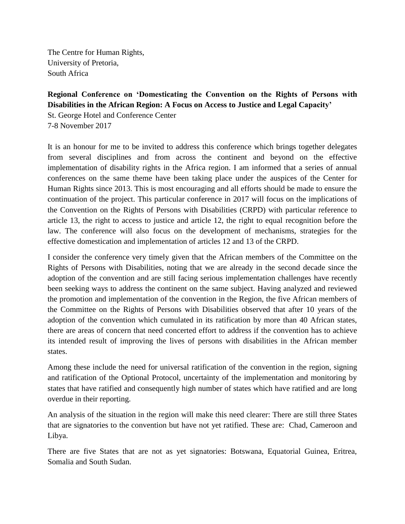The Centre for Human Rights, University of Pretoria, South Africa

**Regional Conference on 'Domesticating the Convention on the Rights of Persons with Disabilities in the African Region: A Focus on Access to Justice and Legal Capacity'**

St. George Hotel and Conference Center 7-8 November 2017

It is an honour for me to be invited to address this conference which brings together delegates from several disciplines and from across the continent and beyond on the effective implementation of disability rights in the Africa region. I am informed that a series of annual conferences on the same theme have been taking place under the auspices of the Center for Human Rights since 2013. This is most encouraging and all efforts should be made to ensure the continuation of the project. This particular conference in 2017 will focus on the implications of the Convention on the Rights of Persons with Disabilities (CRPD) with particular reference to article 13, the right to access to justice and article 12, the right to equal recognition before the law. The conference will also focus on the development of mechanisms, strategies for the effective domestication and implementation of articles 12 and 13 of the CRPD.

I consider the conference very timely given that the African members of the Committee on the Rights of Persons with Disabilities, noting that we are already in the second decade since the adoption of the convention and are still facing serious implementation challenges have recently been seeking ways to address the continent on the same subject. Having analyzed and reviewed the promotion and implementation of the convention in the Region, the five African members of the Committee on the Rights of Persons with Disabilities observed that after 10 years of the adoption of the convention which cumulated in its ratification by more than 40 African states, there are areas of concern that need concerted effort to address if the convention has to achieve its intended result of improving the lives of persons with disabilities in the African member states.

Among these include the need for universal ratification of the convention in the region, signing and ratification of the Optional Protocol, uncertainty of the implementation and monitoring by states that have ratified and consequently high number of states which have ratified and are long overdue in their reporting.

An analysis of the situation in the region will make this need clearer: There are still three States that are signatories to the convention but have not yet ratified. These are: Chad, Cameroon and Libya.

There are five States that are not as yet signatories: Botswana, Equatorial Guinea, Eritrea, Somalia and South Sudan.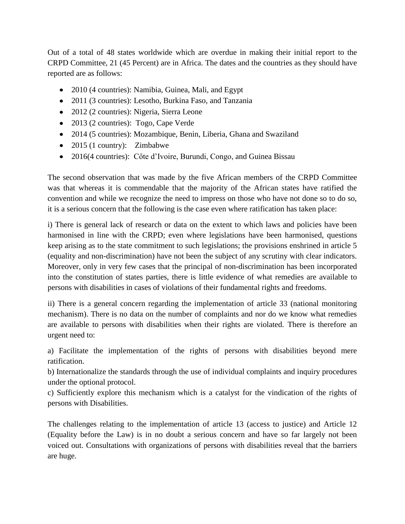Out of a total of 48 states worldwide which are overdue in making their initial report to the CRPD Committee, 21 (45 Percent) are in Africa. The dates and the countries as they should have reported are as follows:

- 2010 (4 countries): Namibia, Guinea, Mali, and Egypt
- 2011 (3 countries): Lesotho, Burkina Faso, and Tanzania
- 2012 (2 countries): Nigeria, Sierra Leone
- 2013 (2 countries): Togo, Cape Verde
- 2014 (5 countries): Mozambique, Benin, Liberia, Ghana and Swaziland
- 2015 (1 country): Zimbabwe
- 2016(4 countries): Côte d'Ivoire, Burundi, Congo, and Guinea Bissau

The second observation that was made by the five African members of the CRPD Committee was that whereas it is commendable that the majority of the African states have ratified the convention and while we recognize the need to impress on those who have not done so to do so, it is a serious concern that the following is the case even where ratification has taken place:

i) There is general lack of research or data on the extent to which laws and policies have been harmonised in line with the CRPD; even where legislations have been harmonised, questions keep arising as to the state commitment to such legislations; the provisions enshrined in article 5 (equality and non-discrimination) have not been the subject of any scrutiny with clear indicators. Moreover, only in very few cases that the principal of non-discrimination has been incorporated into the constitution of states parties, there is little evidence of what remedies are available to persons with disabilities in cases of violations of their fundamental rights and freedoms.

ii) There is a general concern regarding the implementation of article 33 (national monitoring mechanism). There is no data on the number of complaints and nor do we know what remedies are available to persons with disabilities when their rights are violated. There is therefore an urgent need to:

a) Facilitate the implementation of the rights of persons with disabilities beyond mere ratification.

b) Internationalize the standards through the use of individual complaints and inquiry procedures under the optional protocol.

c) Sufficiently explore this mechanism which is a catalyst for the vindication of the rights of persons with Disabilities.

The challenges relating to the implementation of article 13 (access to justice) and Article 12 (Equality before the Law) is in no doubt a serious concern and have so far largely not been voiced out. Consultations with organizations of persons with disabilities reveal that the barriers are huge.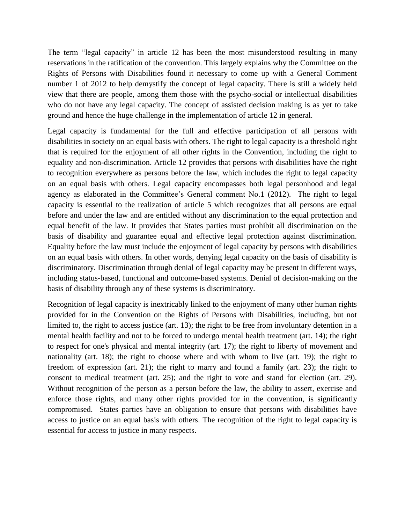The term "legal capacity" in article 12 has been the most misunderstood resulting in many reservations in the ratification of the convention. This largely explains why the Committee on the Rights of Persons with Disabilities found it necessary to come up with a General Comment number 1 of 2012 to help demystify the concept of legal capacity. There is still a widely held view that there are people, among them those with the psycho-social or intellectual disabilities who do not have any legal capacity. The concept of assisted decision making is as yet to take ground and hence the huge challenge in the implementation of article 12 in general.

Legal capacity is fundamental for the full and effective participation of all persons with disabilities in society on an equal basis with others. The right to legal capacity is a threshold right that is required for the enjoyment of all other rights in the Convention, including the right to equality and non-discrimination. Article 12 provides that persons with disabilities have the right to recognition everywhere as persons before the law, which includes the right to legal capacity on an equal basis with others. Legal capacity encompasses both legal personhood and legal agency as elaborated in the Committee's General comment No.1 (2012). The right to legal capacity is essential to the realization of article 5 which recognizes that all persons are equal before and under the law and are entitled without any discrimination to the equal protection and equal benefit of the law. It provides that States parties must prohibit all discrimination on the basis of disability and guarantee equal and effective legal protection against discrimination. Equality before the law must include the enjoyment of legal capacity by persons with disabilities on an equal basis with others. In other words, denying legal capacity on the basis of disability is discriminatory. Discrimination through denial of legal capacity may be present in different ways, including status-based, functional and outcome-based systems. Denial of decision-making on the basis of disability through any of these systems is discriminatory.

Recognition of legal capacity is inextricably linked to the enjoyment of many other human rights provided for in the Convention on the Rights of Persons with Disabilities, including, but not limited to, the right to access justice (art. 13); the right to be free from involuntary detention in a mental health facility and not to be forced to undergo mental health treatment (art. 14); the right to respect for one's physical and mental integrity (art. 17); the right to liberty of movement and nationality (art. 18); the right to choose where and with whom to live (art. 19); the right to freedom of expression (art. 21); the right to marry and found a family (art. 23); the right to consent to medical treatment (art. 25); and the right to vote and stand for election (art. 29). Without recognition of the person as a person before the law, the ability to assert, exercise and enforce those rights, and many other rights provided for in the convention, is significantly compromised. States parties have an obligation to ensure that persons with disabilities have access to justice on an equal basis with others. The recognition of the right to legal capacity is essential for access to justice in many respects.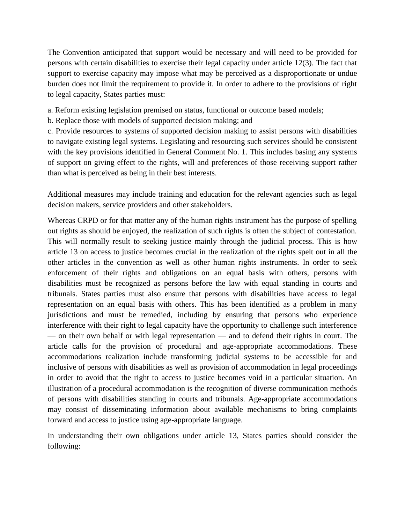The Convention anticipated that support would be necessary and will need to be provided for persons with certain disabilities to exercise their legal capacity under article 12(3). The fact that support to exercise capacity may impose what may be perceived as a disproportionate or undue burden does not limit the requirement to provide it. In order to adhere to the provisions of right to legal capacity, States parties must:

a. Reform existing legislation premised on status, functional or outcome based models;

b. Replace those with models of supported decision making; and

c. Provide resources to systems of supported decision making to assist persons with disabilities to navigate existing legal systems. Legislating and resourcing such services should be consistent with the key provisions identified in General Comment No. 1. This includes basing any systems of support on giving effect to the rights, will and preferences of those receiving support rather than what is perceived as being in their best interests.

Additional measures may include training and education for the relevant agencies such as legal decision makers, service providers and other stakeholders.

Whereas CRPD or for that matter any of the human rights instrument has the purpose of spelling out rights as should be enjoyed, the realization of such rights is often the subject of contestation. This will normally result to seeking justice mainly through the judicial process. This is how article 13 on access to justice becomes crucial in the realization of the rights spelt out in all the other articles in the convention as well as other human rights instruments. In order to seek enforcement of their rights and obligations on an equal basis with others, persons with disabilities must be recognized as persons before the law with equal standing in courts and tribunals. States parties must also ensure that persons with disabilities have access to legal representation on an equal basis with others. This has been identified as a problem in many jurisdictions and must be remedied, including by ensuring that persons who experience interference with their right to legal capacity have the opportunity to challenge such interference — on their own behalf or with legal representation — and to defend their rights in court. The article calls for the provision of procedural and age-appropriate accommodations. These accommodations realization include transforming judicial systems to be accessible for and inclusive of persons with disabilities as well as provision of accommodation in legal proceedings in order to avoid that the right to access to justice becomes void in a particular situation. An illustration of a procedural accommodation is the recognition of diverse communication methods of persons with disabilities standing in courts and tribunals. Age-appropriate accommodations may consist of disseminating information about available mechanisms to bring complaints forward and access to justice using age-appropriate language.

In understanding their own obligations under article 13, States parties should consider the following: